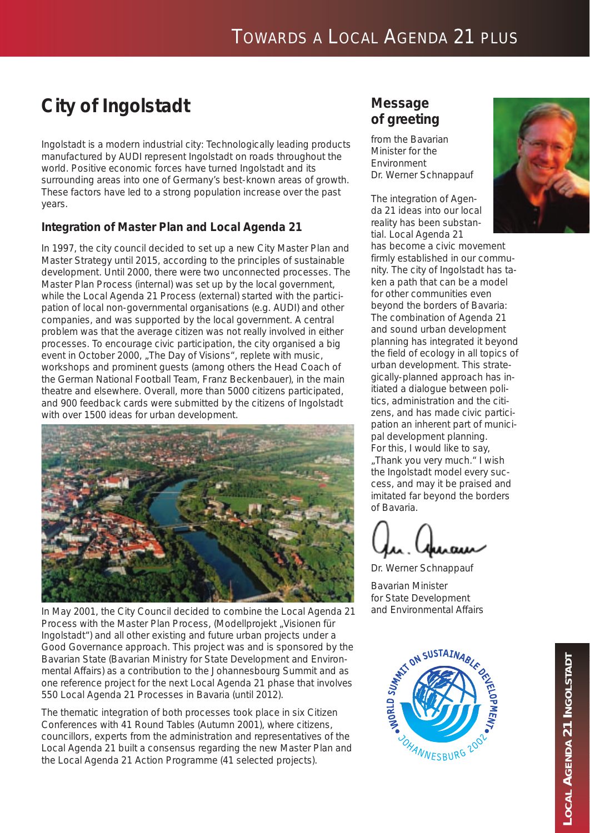## **City of Ingolstadt**

Ingolstadt is a modern industrial city: Technologically leading products manufactured by AUDI represent Ingolstadt on roads throughout the world. Positive economic forces have turned Ingolstadt and its surrounding areas into one of Germany's best-known areas of growth. These factors have led to a strong population increase over the past years.

## **Integration of Master Plan and Local Agenda 21**

In 1997, the city council decided to set up a new City Master Plan and Master Strategy until 2015, according to the principles of sustainable development. Until 2000, there were two unconnected processes. The Master Plan Process (internal) was set up by the local government, while the Local Agenda 21 Process (external) started with the participation of local non-governmental organisations (e.g. AUDI) and other companies, and was supported by the local government. A central problem was that the average citizen was not really involved in either processes. To encourage civic participation, the city organised a big event in October 2000, "The Day of Visions", replete with music, workshops and prominent guests (among others the Head Coach of the German National Football Team, Franz Beckenbauer), in the main theatre and elsewhere. Overall, more than 5000 citizens participated, and 900 feedback cards were submitted by the citizens of Ingolstadt with over 1500 ideas for urban development.



In May 2001, the City Council decided to combine the Local Agenda 21 Process with the Master Plan Process, (Modellprojekt "Visionen für Ingolstadt") and all other existing and future urban projects under a Good Governance approach. This project was and is sponsored by the Bavarian State (Bavarian Ministry for State Development and Environmental Affairs) as a contribution to the Johannesbourg Summit and as one reference project for the next Local Agenda 21 phase that involves 550 Local Agenda 21 Processes in Bavaria (until 2012).

The thematic integration of both processes took place in six Citizen Conferences with 41 Round Tables (Autumn 2001), where citizens, councillors, experts from the administration and representatives of the Local Agenda 21 built a consensus regarding the new Master Plan and the Local Agenda 21 Action Programme (41 selected projects).

## **Message of greeting**

*from the Bavarian Minister for the Environment Dr. Werner Schnappauf*

The integration of Agenda 21 ideas into our local reality has been substantial. Local Agenda 21

has become a civic movement firmly established in our community. The city of Ingolstadt has taken a path that can be a model for other communities even beyond the borders of Bavaria: The combination of Agenda 21 and sound urban development planning has integrated it beyond the field of ecology in all topics of urban development. This strategically-planned approach has initiated a dialogue between politics, administration and the citizens, and has made civic participation an inherent part of municipal development planning. For this, I would like to say, "Thank you very much." I wish the Ingolstadt model every success, and may it be praised and imitated far beyond the borders of Bavaria.

*Dr. Werner Schnappauf*

Bavarian Minister for State Development and Environmental Affairs



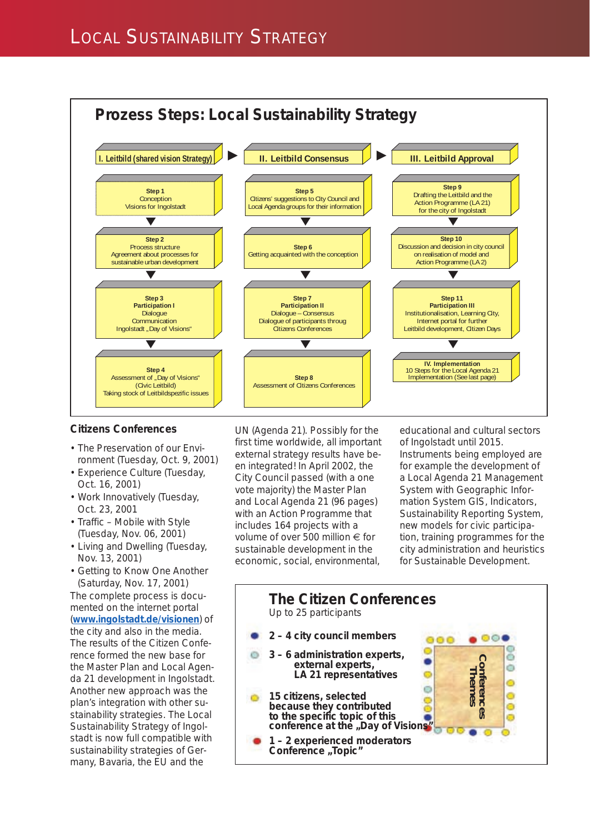

#### **Citizens Conferences**

- The Preservation of our Environment (Tuesday, Oct. 9, 2001)
- Experience Culture (Tuesday, Oct. 16, 2001)
- Work Innovatively (Tuesday, Oct. 23, 2001
- Traffic Mobile with Style (Tuesday, Nov. 06, 2001)
- Living and Dwelling (Tuesday, Nov. 13, 2001)

• Getting to Know One Another (Saturday, Nov. 17, 2001) The complete process is documented on the internet portal (**www.ingolstadt.de/visionen**) of the city and also in the media. The results of the Citizen Conference formed the new base for the Master Plan and Local Agenda 21 development in Ingolstadt. Another new approach was the plan's integration with other sustainability strategies. The Local Sustainability Strategy of Ingolstadt is now full compatible with sustainability strategies of Germany, Bavaria, the EU and the

UN (Agenda 21). Possibly for the first time worldwide, all important external strategy results have been integrated! In April 2002, the City Council passed (with a one vote majority) the Master Plan and Local Agenda 21 (96 pages) with an Action Programme that includes 164 projects with a volume of over 500 million € for sustainable development in the economic, social, environmental,

educational and cultural sectors of Ingolstadt until 2015.

Instruments being employed are for example the development of a Local Agenda 21 Management System with Geographic Information System GIS, Indicators, Sustainability Reporting System, new models for civic participation, training programmes for the city administration and heuristics for Sustainable Development.

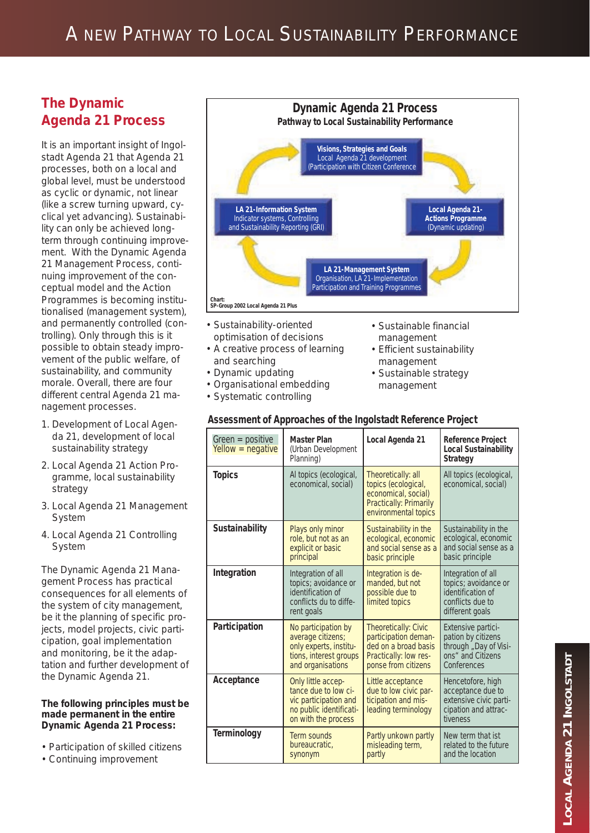## **The Dynamic Agenda 21 Process**

It is an important insight of Ingolstadt Agenda 21 that Agenda 21 processes, both on a local and global level, must be understood as cyclic or dynamic, not linear (like a screw turning upward, cyclical yet advancing). Sustainability can only be achieved longterm through continuing improvement. With the Dynamic Agenda 21 Management Process, continuing improvement of the conceptual model and the Action Programmes is becoming institutionalised (management system), and permanently controlled (controlling). Only through this is it possible to obtain steady improvement of the public welfare, of sustainability, and community morale. Overall, there are four different central Agenda 21 management processes.

- 1. Development of Local Agenda 21, development of local sustainability strategy
- 2. Local Agenda 21 Action Programme, local sustainability strategy
- 3. Local Agenda 21 Management System
- 4. Local Agenda 21 Controlling System

The Dynamic Agenda 21 Management Process has practical consequences for all elements of the system of city management, be it the planning of specific projects, model projects, civic participation, goal implementation and monitoring, be it the adaptation and further development of the Dynamic Agenda 21.

#### **The following principles must be made permanent in the entire Dynamic Agenda 21 Process:**

- Participation of skilled citizens
- Continuing improvement



- Sustainability-oriented optimisation of decisions
- A creative process of learning and searching
- Dynamic updating
- Organisational embedding
- Systematic controlling
- Sustainable financial management
- Efficient sustainability management • Sustainable strategy
- management

#### **Assessment of Approaches of the Ingolstadt Reference Project**

| $Green = positive$<br>Yellow = negative | <b>Master Plan</b><br>(Urban Development<br>Planning)                                                                 | Local Agenda 21                                                                                                             | <b>Reference Project</b><br><b>Local Sustainability</b><br><b>Strategy</b>                             |
|-----------------------------------------|-----------------------------------------------------------------------------------------------------------------------|-----------------------------------------------------------------------------------------------------------------------------|--------------------------------------------------------------------------------------------------------|
| <b>Topics</b>                           | Al topics (ecological,<br>economical, social)                                                                         | Theoretically: all<br>topics (ecological,<br>economical, social)<br><b>Practically: Primarily</b><br>environmental topics   | All topics (ecological,<br>economical, social)                                                         |
| <b>Sustainability</b>                   | Plays only minor<br>role, but not as an<br>explicit or basic<br>principal                                             | Sustainability in the<br>ecological, economic<br>and social sense as a<br>basic principle                                   | Sustainability in the<br>ecological, economic<br>and social sense as a<br>basic principle              |
| Integration                             | Integration of all<br>topics; avoidance or<br>identification of<br>conflicts du to diffe-<br>rent goals               | Integration is de-<br>manded, but not<br>possible due to<br>limited topics                                                  | Integration of all<br>topics; avoidance or<br>identification of<br>conflicts due to<br>different goals |
| Participation                           | No participation by<br>average citizens;<br>only experts, institu-<br>tions, interest groups<br>and organisations     | <b>Theoretically: Civic</b><br>participation deman-<br>ded on a broad basis<br>Practically: low res-<br>ponse from citizens | Extensive partici-<br>pation by citizens<br>through "Day of Visi-<br>ons" and Citizens<br>Conferences  |
| Acceptance                              | Only little accep-<br>tance due to low ci-<br>vic participation and<br>no public identificati-<br>on with the process | Little acceptance<br>due to low civic par-<br>ticipation and mis-<br>leading terminology                                    | Hencetofore, high<br>acceptance due to<br>extensive civic parti-<br>cipation and attrac-<br>tiveness   |
| <b>Terminology</b>                      | Term sounds<br>bureaucratic,<br>synonym                                                                               | Partly unkown partly<br>misleading term,<br>partly                                                                          | New term that ist<br>related to the future<br>and the location                                         |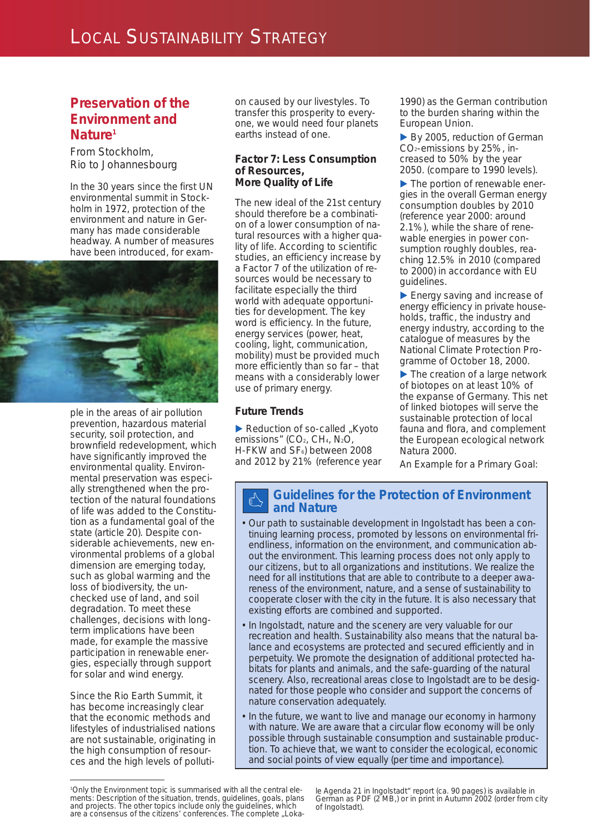## **Preservation of the Environment and Nature1**

From Stockholm, Rio to Johannesbourg

In the 30 years since the first UN environmental summit in Stockholm in 1972, protection of the environment and nature in Germany has made considerable headway. A number of measures have been introduced, for exam-



ple in the areas of air pollution prevention, hazardous material security, soil protection, and brownfield redevelopment, which have significantly improved the environmental quality. Environmental preservation was especially strengthened when the protection of the natural foundations of life was added to the Constitution as a fundamental goal of the state (article 20). Despite considerable achievements, new environmental problems of a global dimension are emerging today, such as global warming and the loss of biodiversity, the unchecked use of land, and soil degradation. To meet these challenges, decisions with longterm implications have been made, for example the massive participation in renewable energies, especially through support for solar and wind energy.

Since the Rio Earth Summit, it has become increasingly clear that the economic methods and lifestyles of industrialised nations are not sustainable, originating in the high consumption of resources and the high levels of polluti-

on caused by our livestyles. To transfer this prosperity to everyone, we would need four planets earths instead of one.

#### **Factor 7: Less Consumption of Resources, More Quality of Life**

The new ideal of the 21st century should therefore be a combination of a lower consumption of natural resources with a higher quality of life. According to scientific studies, an efficiency increase by a Factor 7 of the utilization of resources would be necessary to facilitate especially the third world with adequate opportunities for development. The key word is efficiency. In the future, energy services (power, heat, cooling, light, communication, mobility) must be provided much more efficiently than so far – that means with a considerably lower use of primary energy.

#### **Future Trends**

Reduction of so-called "Kyoto emissions" (CO<sub>2</sub>, CH<sub>4</sub>, N<sub>2</sub>O<sub>,</sub> H-FKW and SF<sub>6</sub>) between 2008 and 2012 by 21% (reference year 1990) as the German contribution to the burden sharing within the European Union.

▶ By 2005, reduction of German CO2-emissions by 25%, increased to 50% by the year 2050. (compare to 1990 levels).

- The portion of renewable energies in the overall German energy consumption doubles by 2010 (reference year 2000: around 2.1%), while the share of renewable energies in power consumption roughly doubles, reaching 12.5% in 2010 (compared to 2000) in accordance with EU guidelines.

Energy saving and increase of energy efficiency in private households, traffic, the industry and energy industry, according to the catalogue of measures by the National Climate Protection Programme of October 18, 2000.

▶ The creation of a large network of biotopes on at least 10% of the expanse of Germany. This net of linked biotopes will serve the sustainable protection of local fauna and flora, and complement the European ecological network Natura 2000.

An Example for a Primary Goal:

## **Guidelines for the Protection of Environment and Nature**

- Our path to sustainable development in Ingolstadt has been a continuing learning process, promoted by lessons on environmental friendliness, information on the environment, and communication about the environment. This learning process does not only apply to our citizens, but to all organizations and institutions. We realize the need for all institutions that are able to contribute to a deeper awareness of the environment, nature, and a sense of sustainability to cooperate closer with the city in the future. It is also necessary that existing efforts are combined and supported.
- In Ingolstadt, nature and the scenery are very valuable for our recreation and health. Sustainability also means that the natural balance and ecosystems are protected and secured efficiently and in perpetuity. We promote the designation of additional protected habitats for plants and animals, and the safe-guarding of the natural scenery. Also, recreational areas close to Ingolstadt are to be designated for those people who consider and support the concerns of nature conservation adequately.
- In the future, we want to live and manage our economy in harmony with nature. We are aware that a circular flow economy will be only possible through sustainable consumption and sustainable production. To achieve that, we want to consider the ecological, economic and social points of view equally (per time and importance).

le Agenda 21 in Ingolstadt" report (ca. 90 pages) is available in German as PDF (2 MB,) or in print in Autumn 2002 (order from city of Ingolstadt).

<sup>1</sup> Only the Environment topic is summarised with all the central elements: Description of the situation, trends, guidelines, goals, plans and projects. The other topics include only the guidelines, which are a consensus of the citizens' conferences. The complete "Loka-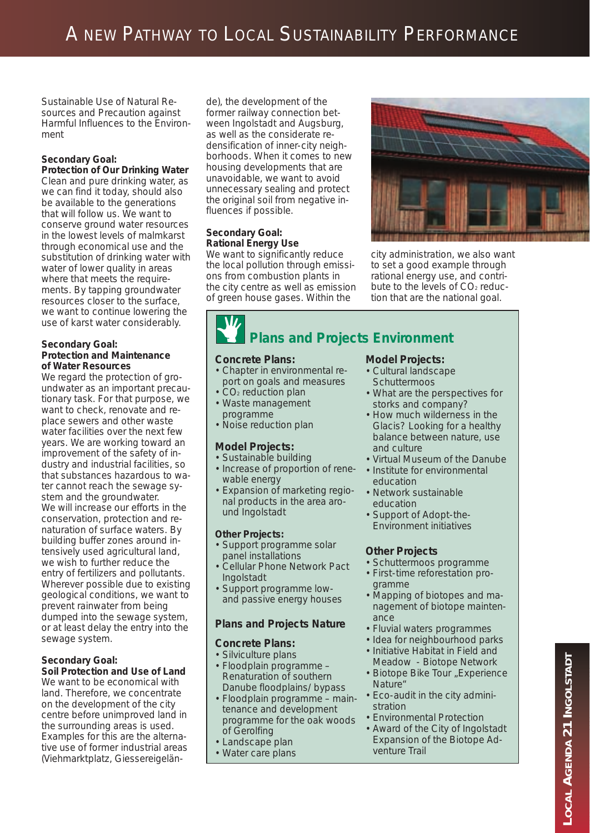Sustainable Use of Natural Resources and Precaution against Harmful Influences to the Environment

#### **Secondary Goal:**

**Protection of Our Drinking Water** Clean and pure drinking water, as we can find it today, should also be available to the generations that will follow us. We want to conserve ground water resources in the lowest levels of malmkarst through economical use and the substitution of drinking water with water of lower quality in areas where that meets the requirements. By tapping groundwater resources closer to the surface, we want to continue lowering the use of karst water considerably.

#### **Secondary Goal:**

#### **Protection and Maintenance of Water Resources**

We regard the protection of groundwater as an important precautionary task. For that purpose, we want to check, renovate and replace sewers and other waste water facilities over the next few years. We are working toward an improvement of the safety of industry and industrial facilities, so that substances hazardous to water cannot reach the sewage system and the groundwater. We will increase our efforts in the conservation, protection and renaturation of surface waters. By building buffer zones around intensively used agricultural land, we wish to further reduce the entry of fertilizers and pollutants. Wherever possible due to existing geological conditions, we want to prevent rainwater from being dumped into the sewage system, or at least delay the entry into the sewage system.

#### **Secondary Goal:**

**Soil Protection and Use of Land** We want to be economical with land. Therefore, we concentrate on the development of the city centre before unimproved land in the surrounding areas is used. Examples for this are the alternative use of former industrial areas (Viehmarktplatz, Giessereigelän-

de), the development of the former railway connection between Ingolstadt and Augsburg, as well as the considerate redensification of inner-city neighborhoods. When it comes to new housing developments that are unavoidable, we want to avoid unnecessary sealing and protect the original soil from negative influences if possible.

#### **Secondary Goal: Rational Energy Use**

We want to significantly reduce the local pollution through emissions from combustion plants in the city centre as well as emission of green house gases. Within the



city administration, we also want to set a good example through rational energy use, and contribute to the levels of CO<sub>2</sub> reduction that are the national goal.

# **Plans and Projects Environment**

#### **Concrete Plans:**

- Chapter in environmental report on goals and measures
- CO<sub>2</sub> reduction plan
- Waste management programme
- Noise reduction plan

#### **Model Projects:**

- Sustainable building
- Increase of proportion of renewable energy
- Expansion of marketing regional products in the area around Ingolstadt

#### **Other Projects:**

- Support programme solar panel installations
- Cellular Phone Network Pact Ingolstadt
- Support programme lowand passive energy houses

#### **Plans and Projects Nature**

#### **Concrete Plans:**

- Silviculture plans
- Floodplain programme Renaturation of southern Danube floodplains/ bypass
- Floodplain programme maintenance and development programme for the oak woods of Gerolfing
- Landscape plan
- Water care plans

#### **Model Projects:**

- Cultural landscape **Schuttermoos**
- What are the perspectives for storks and company?
- How much wilderness in the Glacis? Looking for a healthy balance between nature, use and culture
- Virtual Museum of the Danube
- Institute for environmental education
- Network sustainable education
- Support of Adopt-the-Environment initiatives

#### **Other Projects**

- Schuttermoos programme • First-time reforestation pro-
- gramme • Mapping of biotopes and management of biotope maintenance
- Fluvial waters programmes
- Idea for neighbourhood parks
- Initiative Habitat in Field and
- Meadow Biotope Network • Biotope Bike Tour "Experience
- Nature"
- Eco-audit in the city administration
- Environmental Protection • Award of the City of Ingolstadt Expansion of the Biotope Adventure Trail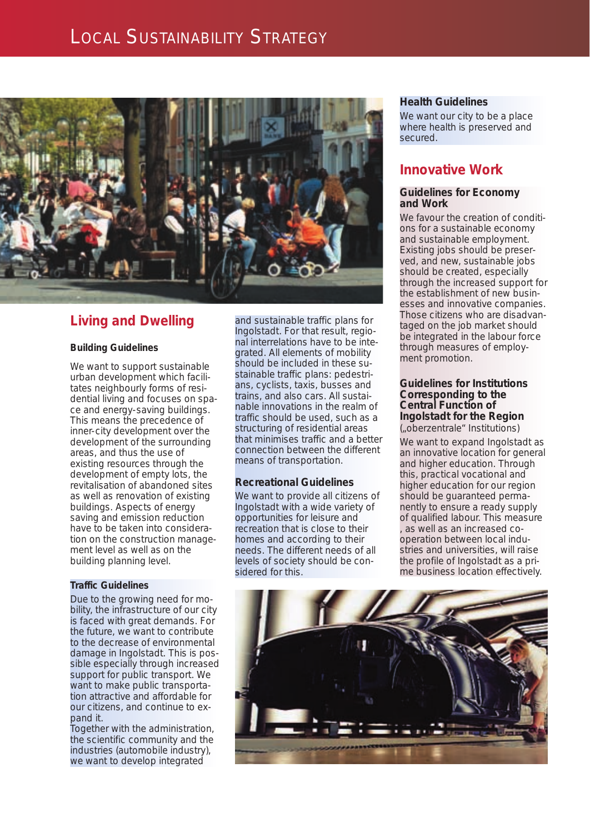

## **Living and Dwelling**

#### **Building Guidelines**

We want to support sustainable urban development which facilitates neighbourly forms of residential living and focuses on space and energy-saving buildings. This means the precedence of inner-city development over the development of the surrounding areas, and thus the use of existing resources through the development of empty lots, the revitalisation of abandoned sites as well as renovation of existing buildings. Aspects of energy saving and emission reduction have to be taken into consideration on the construction management level as well as on the building planning level.

#### **Traffic Guidelines**

Due to the growing need for mobility, the infrastructure of our city is faced with great demands. For the future, we want to contribute to the decrease of environmental damage in Ingolstadt. This is possible especially through increased support for public transport. We want to make public transportation attractive and affordable for our citizens, and continue to expand it.

Together with the administration, the scientific community and the industries (automobile industry), we want to develop integrated

and sustainable traffic plans for Ingolstadt. For that result, regional interrelations have to be integrated. All elements of mobility should be included in these sustainable traffic plans: pedestrians, cyclists, taxis, busses and trains, and also cars. All sustainable innovations in the realm of traffic should be used, such as a structuring of residential areas that minimises traffic and a better connection between the different means of transportation.

#### **Recreational Guidelines**

We want to provide all citizens of Ingolstadt with a wide variety of opportunities for leisure and recreation that is close to their homes and according to their needs. The different needs of all levels of society should be considered for this.

#### **Health Guidelines**

We want our city to be a place where health is preserved and secured.

## **Innovative Work**

#### **Guidelines for Economy and Work**

We favour the creation of conditions for a sustainable economy and sustainable employment. Existing jobs should be preserved, and new, sustainable jobs should be created, especially through the increased support for the establishment of new businesses and innovative companies. Those citizens who are disadvantaged on the job market should be integrated in the labour force through measures of employment promotion.

#### **Guidelines for Institutions Corresponding to the Central Function of Ingolstadt for the Region** ("oberzentrale" Institutions)

We want to expand Ingolstadt as an innovative location for general and higher education. Through this, practical vocational and higher education for our region should be guaranteed permanently to ensure a ready supply of qualified labour. This measure as well as an increased cooperation between local industries and universities, will raise the profile of Ingolstadt as a prime business location effectively.

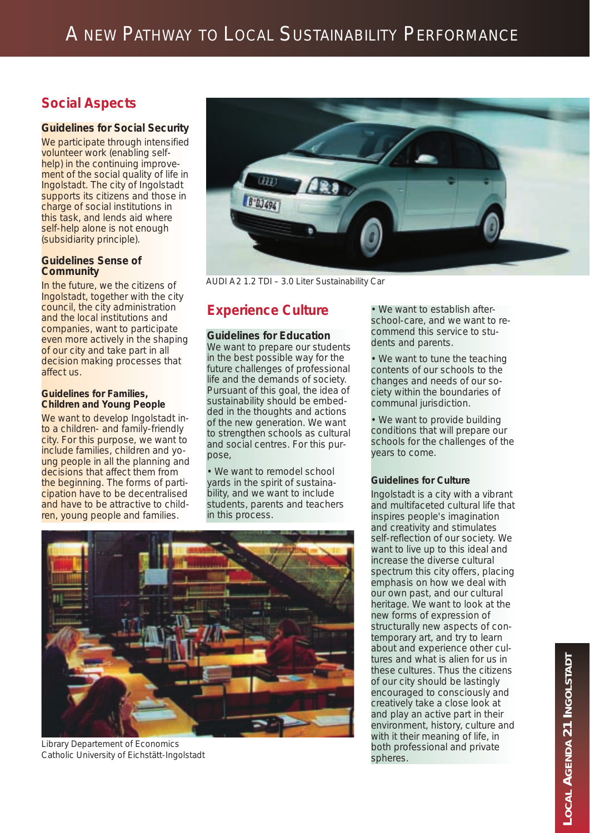## **Social Aspects**

#### **Guidelines for Social Security**

We participate through intensified volunteer work (enabling selfhelp) in the continuing improvement of the social quality of life in Ingolstadt. The city of Ingolstadt supports its citizens and those in charge of social institutions in this task, and lends aid where self-help alone is not enough (subsidiarity principle).

#### **Guidelines Sense of Community**

In the future, we the citizens of Ingolstadt, together with the city council, the city administration and the local institutions and companies, want to participate even more actively in the shaping of our city and take part in all decision making processes that affect us.

#### **Guidelines for Families, Children and Young People**

We want to develop Ingolstadt into a children- and family-friendly city. For this purpose, we want to include families, children and young people in all the planning and decisions that affect them from the beginning. The forms of participation have to be decentralised and have to be attractive to children, young people and families.



*AUDI A2 1.2 TDI – 3.0 Liter Sustainability Car*

## **Experience Culture**

**Guidelines for Education** We want to prepare our students in the best possible way for the future challenges of professional life and the demands of society. Pursuant of this goal, the idea of sustainability should be embedded in the thoughts and actions of the new generation. We want to strengthen schools as cultural and social centres. For this purpose,

• We want to remodel school yards in the spirit of sustainability, and we want to include students, parents and teachers in this process.

• We want to establish afterschool-care, and we want to recommend this service to students and parents.

• We want to tune the teaching contents of our schools to the changes and needs of our society within the boundaries of communal jurisdiction.

• We want to provide building conditions that will prepare our schools for the challenges of the years to come.

#### **Guidelines for Culture**

Ingolstadt is a city with a vibrant and multifaceted cultural life that inspires people's imagination and creativity and stimulates self-reflection of our society. We want to live up to this ideal and increase the diverse cultural spectrum this city offers, placing emphasis on how we deal with our own past, and our cultural heritage. We want to look at the new forms of expression of structurally new aspects of contemporary art, and try to learn about and experience other cultures and what is alien for us in these cultures. Thus the citizens of our city should be lastingly encouraged to consciously and creatively take a close look at and play an active part in their environment, history, culture and with it their meaning of life, in both professional and private spheres.



*Library Departement of Economics Catholic University of Eichstätt-Ingolstadt*